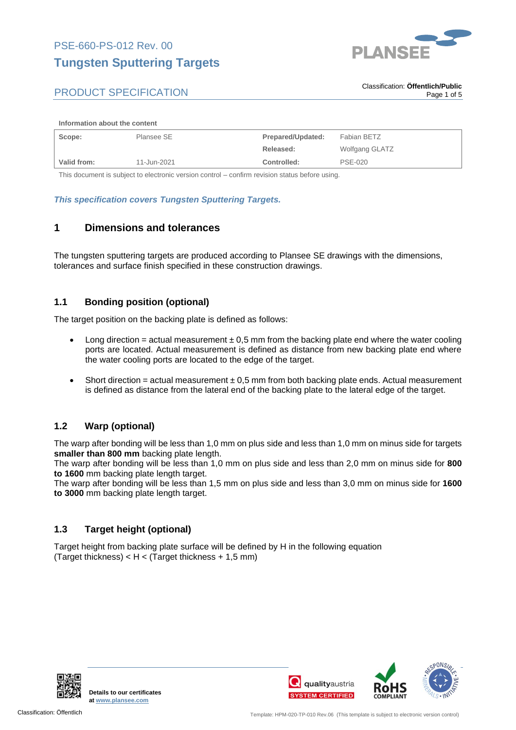

#### **Information about the content**

| Scope:      | Plansee SE  | Prepared/Updated: | Fabian BETZ    |
|-------------|-------------|-------------------|----------------|
|             |             | Released:         | Wolfgang GLATZ |
| Valid from: | 11-Jun-2021 | Controlled:       | <b>PSE-020</b> |

This document is subject to electronic version control – confirm revision status before using.

#### *This specification covers Tungsten Sputtering Targets.*

## **1 Dimensions and tolerances**

The tungsten sputtering targets are produced according to Plansee SE drawings with the dimensions, tolerances and surface finish specified in these construction drawings.

### **1.1 Bonding position (optional)**

The target position on the backing plate is defined as follows:

- Long direction = actual measurement  $\pm$  0,5 mm from the backing plate end where the water cooling ports are located. Actual measurement is defined as distance from new backing plate end where the water cooling ports are located to the edge of the target.
- Short direction = actual measurement  $\pm$  0,5 mm from both backing plate ends. Actual measurement is defined as distance from the lateral end of the backing plate to the lateral edge of the target.

### **1.2 Warp (optional)**

The warp after bonding will be less than 1,0 mm on plus side and less than 1,0 mm on minus side for targets **smaller than 800 mm** backing plate length.

The warp after bonding will be less than 1,0 mm on plus side and less than 2,0 mm on minus side for **800 to 1600** mm backing plate length target.

The warp after bonding will be less than 1,5 mm on plus side and less than 3,0 mm on minus side for **1600 to 3000** mm backing plate length target.

### **1.3 Target height (optional)**

Target height from backing plate surface will be defined by H in the following equation (Target thickness)  $< H <$  (Target thickness + 1,5 mm)



**Details to our certificates at [www.plansee.com](https://www.plansee.com/de.html)**

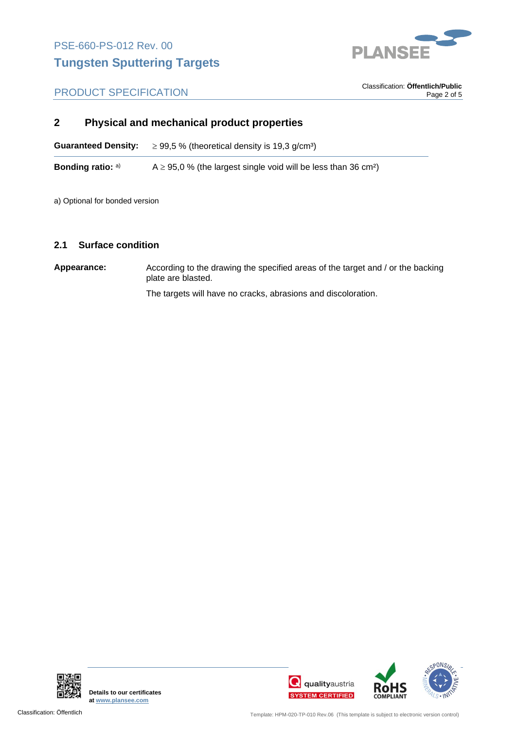

. Classification: **Öffentlich/Public** Page 2 of 5

## **2 Physical and mechanical product properties**

**Guaranteed Density:**  $\geq 99.5$  % (theoretical density is 19.3 g/cm<sup>3</sup>)

**Bonding ratio:**  $A \ge 95.0$  % (the largest single void will be less than 36 cm<sup>2</sup>)

a) Optional for bonded version

#### **2.1 Surface condition**

**Appearance:** According to the drawing the specified areas of the target and / or the backing plate are blasted.

The targets will have no cracks, abrasions and discoloration.



**Details to our certificates at [www.plansee.com](https://www.plansee.com/de.html)**



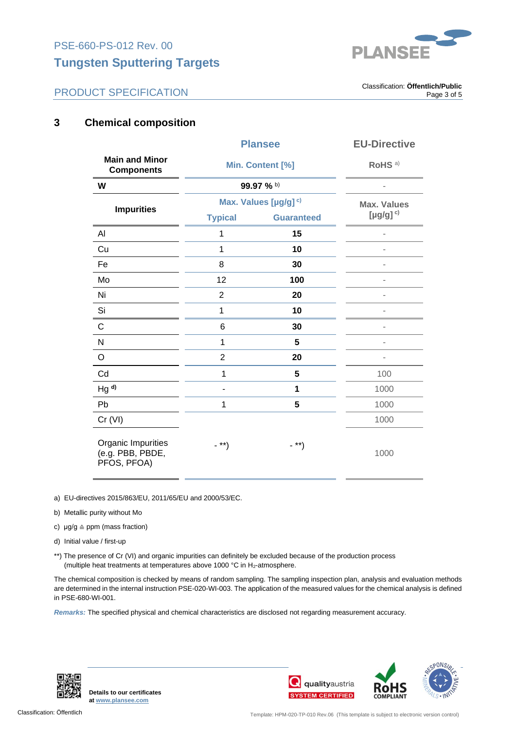**Tungsten Sputtering Targets**



## PRODUCT SPECIFICATION

. Classification: **Öffentlich/Public** Page 3 of 5

## **3 Chemical composition**

|                                                       | <b>Plansee</b>                   |                   | <b>EU-Directive</b>                                                                                                                                                                                                                                                                                                                                                                                                                                                        |
|-------------------------------------------------------|----------------------------------|-------------------|----------------------------------------------------------------------------------------------------------------------------------------------------------------------------------------------------------------------------------------------------------------------------------------------------------------------------------------------------------------------------------------------------------------------------------------------------------------------------|
| <b>Main and Minor</b><br><b>Components</b>            | Min. Content [%]                 |                   | RoHS <sup>a)</sup>                                                                                                                                                                                                                                                                                                                                                                                                                                                         |
| W                                                     | 99.97 % b)                       |                   |                                                                                                                                                                                                                                                                                                                                                                                                                                                                            |
| <b>Impurities</b>                                     | Max. Values [µg/g] <sup>c)</sup> |                   | <b>Max. Values</b>                                                                                                                                                                                                                                                                                                                                                                                                                                                         |
|                                                       | <b>Typical</b>                   | <b>Guaranteed</b> | $[$ µg/g] $c)$                                                                                                                                                                                                                                                                                                                                                                                                                                                             |
| Al                                                    | $\mathbf 1$                      | 15                |                                                                                                                                                                                                                                                                                                                                                                                                                                                                            |
| Cu                                                    | $\mathbf{1}$                     | 10                |                                                                                                                                                                                                                                                                                                                                                                                                                                                                            |
| Fe                                                    | 8                                | 30                |                                                                                                                                                                                                                                                                                                                                                                                                                                                                            |
| Mo                                                    | 12                               | 100               |                                                                                                                                                                                                                                                                                                                                                                                                                                                                            |
| Ni                                                    | $\overline{2}$                   | 20                | $\frac{1}{2} \left( \frac{1}{2} \right) \left( \frac{1}{2} \right) \left( \frac{1}{2} \right) \left( \frac{1}{2} \right) \left( \frac{1}{2} \right) \left( \frac{1}{2} \right) \left( \frac{1}{2} \right) \left( \frac{1}{2} \right) \left( \frac{1}{2} \right) \left( \frac{1}{2} \right) \left( \frac{1}{2} \right) \left( \frac{1}{2} \right) \left( \frac{1}{2} \right) \left( \frac{1}{2} \right) \left( \frac{1}{2} \right) \left( \frac{1}{2} \right) \left( \frac$ |
| Si                                                    | $\mathbf 1$                      | 10                | $\overline{a}$                                                                                                                                                                                                                                                                                                                                                                                                                                                             |
| $\mathsf C$                                           | 6                                | 30                |                                                                                                                                                                                                                                                                                                                                                                                                                                                                            |
| ${\sf N}$                                             | 1                                | 5                 |                                                                                                                                                                                                                                                                                                                                                                                                                                                                            |
| $\circ$                                               | $\overline{2}$                   | 20                | $\blacksquare$                                                                                                                                                                                                                                                                                                                                                                                                                                                             |
| Cd                                                    | $\mathbf{1}$                     | 5                 | 100                                                                                                                                                                                                                                                                                                                                                                                                                                                                        |
| $Hg^{d}$                                              |                                  | 1                 | 1000                                                                                                                                                                                                                                                                                                                                                                                                                                                                       |
| Pb                                                    | 1                                | 5                 | 1000                                                                                                                                                                                                                                                                                                                                                                                                                                                                       |
| Cr (VI)                                               |                                  |                   | 1000                                                                                                                                                                                                                                                                                                                                                                                                                                                                       |
| Organic Impurities<br>(e.g. PBB, PBDE,<br>PFOS, PFOA) | $-$ **)                          | $-$ **)           | 1000                                                                                                                                                                                                                                                                                                                                                                                                                                                                       |

- a) EU-directives 2015/863/EU, 2011/65/EU and 2000/53/EC.
- b) Metallic purity without Mo
- c)  $\mu q/q \triangleq$  ppm (mass fraction)
- d) Initial value / first-up
- \*\*) The presence of Cr (VI) and organic impurities can definitely be excluded because of the production process (multiple heat treatments at temperatures above 1000  $^{\circ}$ C in H<sub>2</sub>-atmosphere.

The chemical composition is checked by means of random sampling. The sampling inspection plan, analysis and evaluation methods are determined in the internal instruction PSE-020-WI-003. The application of the measured values for the chemical analysis is defined in PSE-680-WI-001.

*Remarks:* The specified physical and chemical characteristics are disclosed not regarding measurement accuracy.



**Details to our certificates at [www.plansee.com](https://www.plansee.com/de.html)**



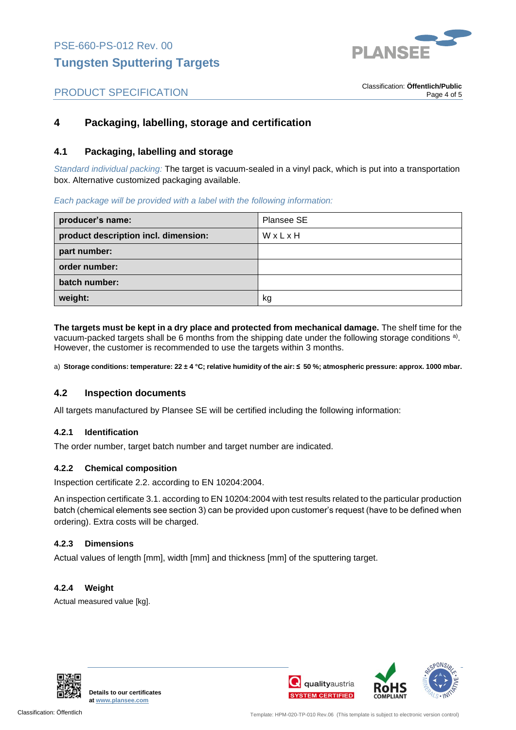

## **4 Packaging, labelling, storage and certification**

### **4.1 Packaging, labelling and storage**

*Standard individual packing:* The target is vacuum-sealed in a vinyl pack, which is put into a transportation box. Alternative customized packaging available.

#### *Each package will be provided with a label with the following information:*

| producer's name:                     | Plansee SE |
|--------------------------------------|------------|
| product description incl. dimension: | WxLxH      |
| part number:                         |            |
| order number:                        |            |
| batch number:                        |            |
| weight:                              | kg         |

**The targets must be kept in a dry place and protected from mechanical damage.** The shelf time for the vacuum-packed targets shall be 6 months from the shipping date under the following storage conditions <sup>a)</sup>. However, the customer is recommended to use the targets within 3 months.

a) **Storage conditions: temperature: 22 ± 4 °C; relative humidity of the air: ≤ 50 %; atmospheric pressure: approx. 1000 mbar.**

### **4.2 Inspection documents**

All targets manufactured by Plansee SE will be certified including the following information:

#### **4.2.1 Identification**

The order number, target batch number and target number are indicated.

#### **4.2.2 Chemical composition**

Inspection certificate 2.2. according to EN 10204:2004.

An inspection certificate 3.1. according to EN 10204:2004 with test results related to the particular production batch (chemical elements see section 3) can be provided upon customer's request (have to be defined when ordering). Extra costs will be charged.

#### **4.2.3 Dimensions**

Actual values of length [mm], width [mm] and thickness [mm] of the sputtering target.

#### **4.2.4 Weight**

Actual measured value [kg].